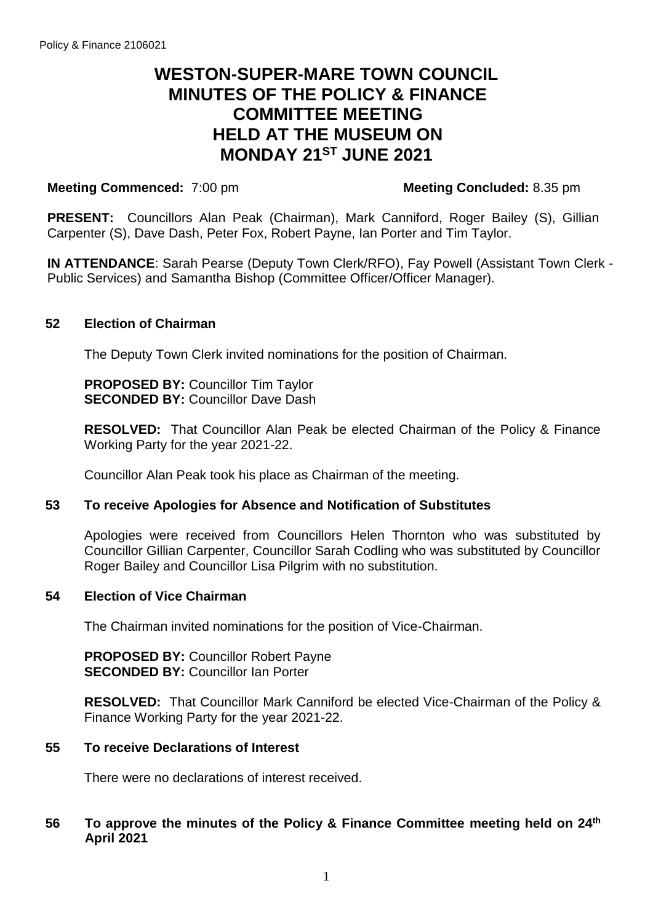# **WESTON-SUPER-MARE TOWN COUNCIL MINUTES OF THE POLICY & FINANCE COMMITTEE MEETING HELD AT THE MUSEUM ON MONDAY 21 ST JUNE 2021**

# **Meeting Commenced:** 7:00 pm

**PRESENT:** Councillors Alan Peak (Chairman), Mark Canniford, Roger Bailey (S), Gillian Carpenter (S), Dave Dash, Peter Fox, Robert Payne, Ian Porter and Tim Taylor.

**IN ATTENDANCE**: Sarah Pearse (Deputy Town Clerk/RFO), Fay Powell (Assistant Town Clerk - Public Services) and Samantha Bishop (Committee Officer/Officer Manager).

# **52 Election of Chairman**

The Deputy Town Clerk invited nominations for the position of Chairman.

**PROPOSED BY: Councillor Tim Taylor SECONDED BY: Councillor Dave Dash** 

**RESOLVED:** That Councillor Alan Peak be elected Chairman of the Policy & Finance Working Party for the year 2021-22.

Councillor Alan Peak took his place as Chairman of the meeting.

#### **53 To receive Apologies for Absence and Notification of Substitutes**

Apologies were received from Councillors Helen Thornton who was substituted by Councillor Gillian Carpenter, Councillor Sarah Codling who was substituted by Councillor Roger Bailey and Councillor Lisa Pilgrim with no substitution.

#### **54 Election of Vice Chairman**

The Chairman invited nominations for the position of Vice-Chairman.

**PROPOSED BY:** Councillor Robert Payne **SECONDED BY:** Councillor Ian Porter

**RESOLVED:** That Councillor Mark Canniford be elected Vice-Chairman of the Policy & Finance Working Party for the year 2021-22.

#### **55 To receive Declarations of Interest**

There were no declarations of interest received.

# **56 To approve the minutes of the Policy & Finance Committee meeting held on 24th April 2021**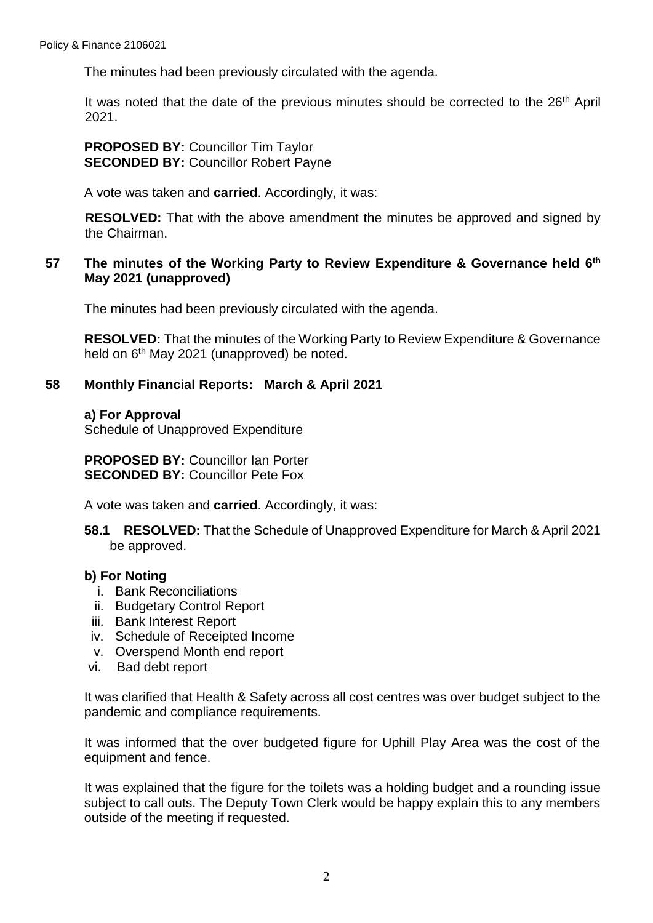The minutes had been previously circulated with the agenda.

It was noted that the date of the previous minutes should be corrected to the 26<sup>th</sup> April 2021.

**PROPOSED BY:** Councillor Tim Taylor **SECONDED BY:** Councillor Robert Payne

A vote was taken and **carried**. Accordingly, it was:

**RESOLVED:** That with the above amendment the minutes be approved and signed by the Chairman.

# **57 The minutes of the Working Party to Review Expenditure & Governance held 6 th May 2021 (unapproved)**

The minutes had been previously circulated with the agenda.

**RESOLVED:** That the minutes of the Working Party to Review Expenditure & Governance held on 6<sup>th</sup> May 2021 (unapproved) be noted.

# **58 Monthly Financial Reports: March & April 2021**

#### **a) For Approval**

Schedule of Unapproved Expenditure

**PROPOSED BY:** Councillor Ian Porter **SECONDED BY:** Councillor Pete Fox

A vote was taken and **carried**. Accordingly, it was:

**58.1 RESOLVED:** That the Schedule of Unapproved Expenditure for March & April 2021 be approved.

# **b) For Noting**

- i. Bank Reconciliations
- ii. Budgetary Control Report
- iii. Bank Interest Report
- iv. Schedule of Receipted Income
- v. Overspend Month end report
- vi. Bad debt report

It was clarified that Health & Safety across all cost centres was over budget subject to the pandemic and compliance requirements.

It was informed that the over budgeted figure for Uphill Play Area was the cost of the equipment and fence.

It was explained that the figure for the toilets was a holding budget and a rounding issue subject to call outs. The Deputy Town Clerk would be happy explain this to any members outside of the meeting if requested.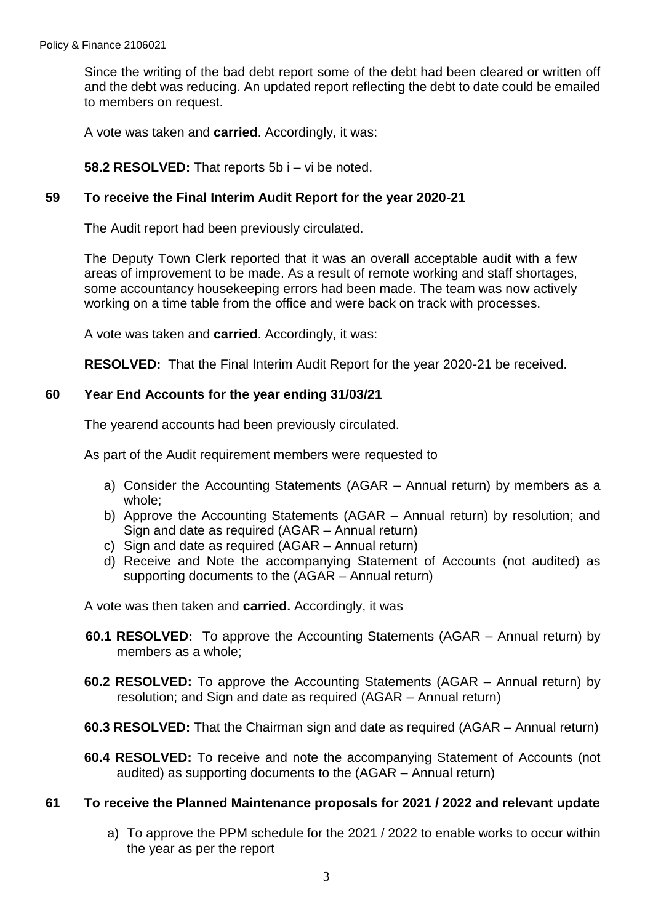Since the writing of the bad debt report some of the debt had been cleared or written off and the debt was reducing. An updated report reflecting the debt to date could be emailed to members on request.

A vote was taken and **carried**. Accordingly, it was:

**58.2 RESOLVED:** That reports 5b i – vi be noted.

### **59 To receive the Final Interim Audit Report for the year 2020-21**

The Audit report had been previously circulated.

The Deputy Town Clerk reported that it was an overall acceptable audit with a few areas of improvement to be made. As a result of remote working and staff shortages, some accountancy housekeeping errors had been made. The team was now actively working on a time table from the office and were back on track with processes.

A vote was taken and **carried**. Accordingly, it was:

**RESOLVED:** That the Final Interim Audit Report for the year 2020-21 be received.

# **60 Year End Accounts for the year ending 31/03/21**

The yearend accounts had been previously circulated.

As part of the Audit requirement members were requested to

- a) Consider the Accounting Statements (AGAR Annual return) by members as a whole;
- b) Approve the Accounting Statements (AGAR Annual return) by resolution; and Sign and date as required (AGAR – Annual return)
- c) Sign and date as required (AGAR Annual return)
- d) Receive and Note the accompanying Statement of Accounts (not audited) as supporting documents to the (AGAR – Annual return)

A vote was then taken and **carried.** Accordingly, it was

- **60.1 RESOLVED:** To approve the Accounting Statements (AGAR Annual return) by members as a whole;
- **60.2 RESOLVED:** To approve the Accounting Statements (AGAR Annual return) by resolution; and Sign and date as required (AGAR – Annual return)
- **60.3 RESOLVED:** That the Chairman sign and date as required (AGAR Annual return)
- **60.4 RESOLVED:** To receive and note the accompanying Statement of Accounts (not audited) as supporting documents to the (AGAR – Annual return)

# **61 To receive the Planned Maintenance proposals for 2021 / 2022 and relevant update**

a) To approve the PPM schedule for the 2021 / 2022 to enable works to occur within the year as per the report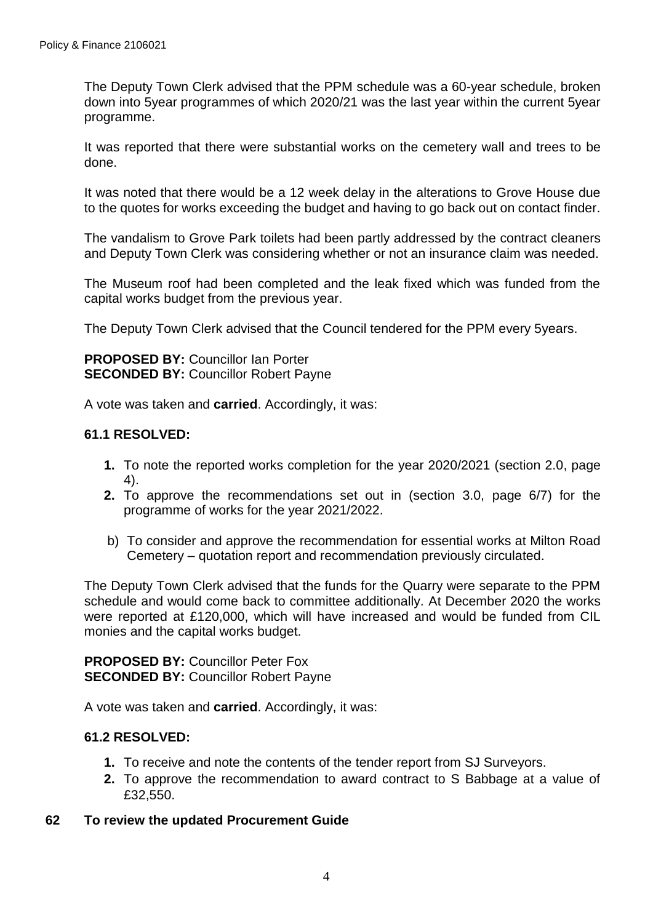The Deputy Town Clerk advised that the PPM schedule was a 60-year schedule, broken down into 5year programmes of which 2020/21 was the last year within the current 5year programme.

It was reported that there were substantial works on the cemetery wall and trees to be done.

It was noted that there would be a 12 week delay in the alterations to Grove House due to the quotes for works exceeding the budget and having to go back out on contact finder.

The vandalism to Grove Park toilets had been partly addressed by the contract cleaners and Deputy Town Clerk was considering whether or not an insurance claim was needed.

The Museum roof had been completed and the leak fixed which was funded from the capital works budget from the previous year.

The Deputy Town Clerk advised that the Council tendered for the PPM every 5years.

**PROPOSED BY:** Councillor Ian Porter **SECONDED BY: Councillor Robert Payne** 

A vote was taken and **carried**. Accordingly, it was:

# **61.1 RESOLVED:**

- **1.** To note the reported works completion for the year 2020/2021 (section 2.0, page 4).
- **2.** To approve the recommendations set out in (section 3.0, page 6/7) for the programme of works for the year 2021/2022.
- b) To consider and approve the recommendation for essential works at Milton Road Cemetery – quotation report and recommendation previously circulated.

The Deputy Town Clerk advised that the funds for the Quarry were separate to the PPM schedule and would come back to committee additionally. At December 2020 the works were reported at £120,000, which will have increased and would be funded from CIL monies and the capital works budget.

**PROPOSED BY:** Councillor Peter Fox **SECONDED BY: Councillor Robert Payne** 

A vote was taken and **carried**. Accordingly, it was:

# **61.2 RESOLVED:**

- **1.** To receive and note the contents of the tender report from SJ Surveyors.
- **2.** To approve the recommendation to award contract to S Babbage at a value of £32,550.
- **62 To review the updated Procurement Guide**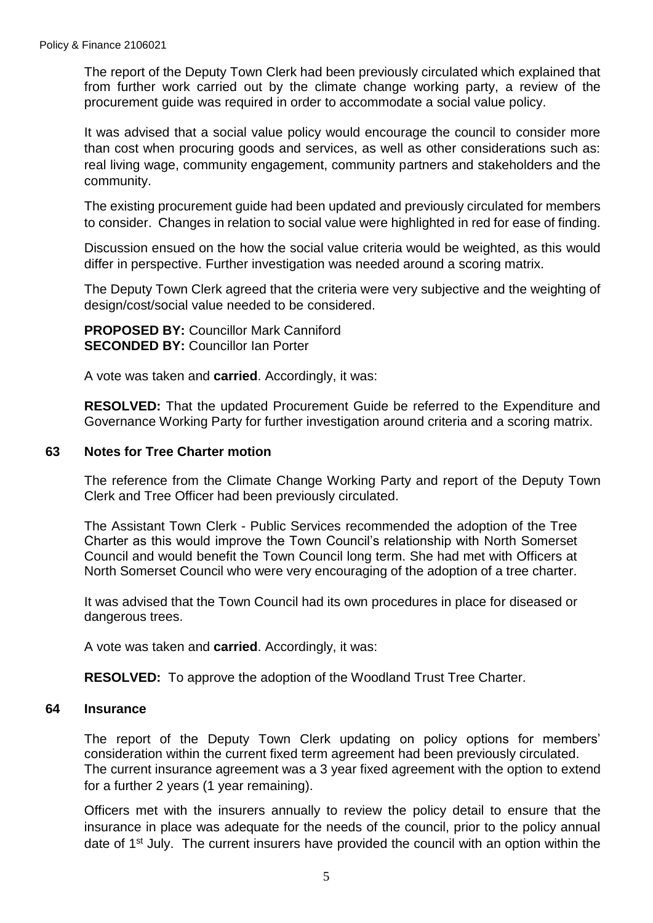The report of the Deputy Town Clerk had been previously circulated which explained that from further work carried out by the climate change working party, a review of the procurement guide was required in order to accommodate a social value policy.

It was advised that a social value policy would encourage the council to consider more than cost when procuring goods and services, as well as other considerations such as: real living wage, community engagement, community partners and stakeholders and the community.

The existing procurement guide had been updated and previously circulated for members to consider. Changes in relation to social value were highlighted in red for ease of finding.

Discussion ensued on the how the social value criteria would be weighted, as this would differ in perspective. Further investigation was needed around a scoring matrix.

The Deputy Town Clerk agreed that the criteria were very subjective and the weighting of design/cost/social value needed to be considered.

**PROPOSED BY:** Councillor Mark Canniford **SECONDED BY: Councillor Ian Porter** 

A vote was taken and **carried**. Accordingly, it was:

**RESOLVED:** That the updated Procurement Guide be referred to the Expenditure and Governance Working Party for further investigation around criteria and a scoring matrix.

# **63 Notes for Tree Charter motion**

The reference from the Climate Change Working Party and report of the Deputy Town Clerk and Tree Officer had been previously circulated.

The Assistant Town Clerk - Public Services recommended the adoption of the Tree Charter as this would improve the Town Council's relationship with North Somerset Council and would benefit the Town Council long term. She had met with Officers at North Somerset Council who were very encouraging of the adoption of a tree charter.

It was advised that the Town Council had its own procedures in place for diseased or dangerous trees.

A vote was taken and **carried**. Accordingly, it was:

**RESOLVED:** To approve the adoption of the Woodland Trust Tree Charter.

#### **64 Insurance**

The report of the Deputy Town Clerk updating on policy options for members' consideration within the current fixed term agreement had been previously circulated. The current insurance agreement was a 3 year fixed agreement with the option to extend for a further 2 years (1 year remaining).

Officers met with the insurers annually to review the policy detail to ensure that the insurance in place was adequate for the needs of the council, prior to the policy annual date of 1<sup>st</sup> July. The current insurers have provided the council with an option within the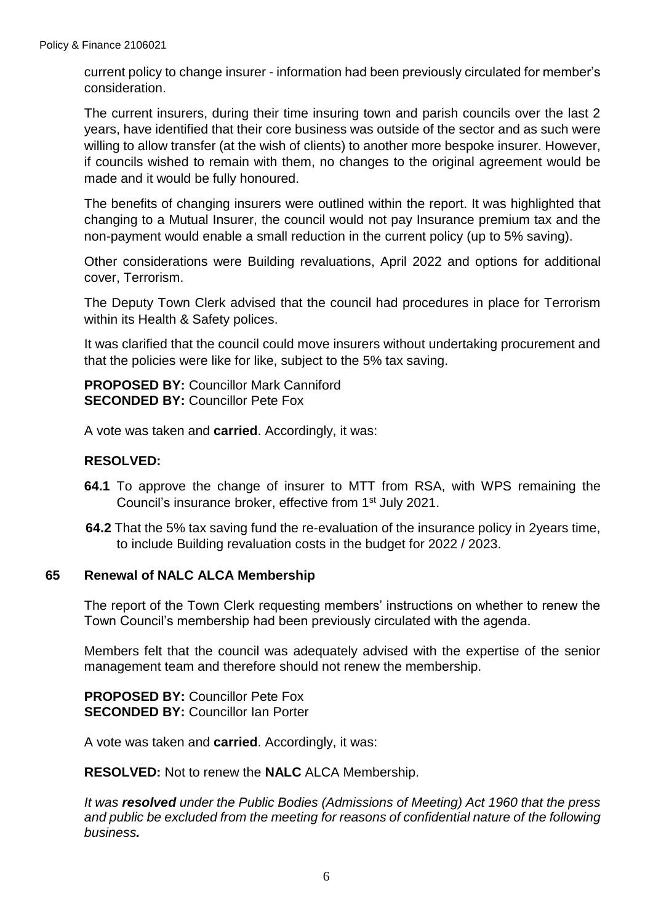current policy to change insurer - information had been previously circulated for member's consideration.

The current insurers, during their time insuring town and parish councils over the last 2 years, have identified that their core business was outside of the sector and as such were willing to allow transfer (at the wish of clients) to another more bespoke insurer. However, if councils wished to remain with them, no changes to the original agreement would be made and it would be fully honoured.

The benefits of changing insurers were outlined within the report. It was highlighted that changing to a Mutual Insurer, the council would not pay Insurance premium tax and the non-payment would enable a small reduction in the current policy (up to 5% saving).

Other considerations were Building revaluations, April 2022 and options for additional cover, Terrorism.

The Deputy Town Clerk advised that the council had procedures in place for Terrorism within its Health & Safety polices.

It was clarified that the council could move insurers without undertaking procurement and that the policies were like for like, subject to the 5% tax saving.

**PROPOSED BY: Councillor Mark Canniford SECONDED BY:** Councillor Pete Fox

A vote was taken and **carried**. Accordingly, it was:

# **RESOLVED:**

- **64.1** To approve the change of insurer to MTT from RSA, with WPS remaining the Council's insurance broker, effective from 1<sup>st</sup> July 2021.
- **64.2** That the 5% tax saving fund the re-evaluation of the insurance policy in 2years time, to include Building revaluation costs in the budget for 2022 / 2023.

#### **65 Renewal of NALC ALCA Membership**

The report of the Town Clerk requesting members' instructions on whether to renew the Town Council's membership had been previously circulated with the agenda.

Members felt that the council was adequately advised with the expertise of the senior management team and therefore should not renew the membership.

**PROPOSED BY:** Councillor Pete Fox **SECONDED BY:** Councillor Ian Porter

A vote was taken and **carried**. Accordingly, it was:

**RESOLVED:** Not to renew the **NALC** ALCA Membership.

*It was resolved under the Public Bodies (Admissions of Meeting) Act 1960 that the press and public be excluded from the meeting for reasons of confidential nature of the following business.*